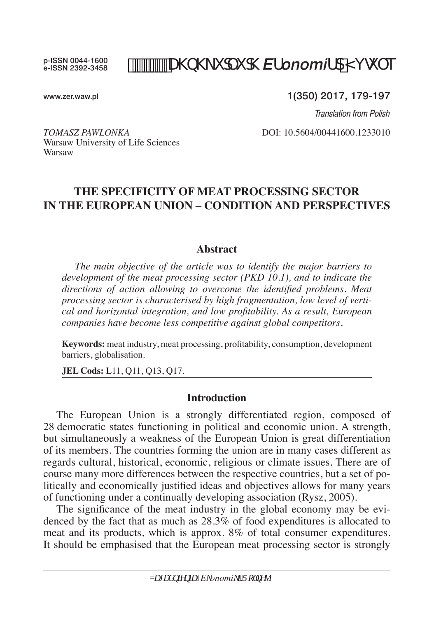p-ISSN 0044-1600 e-ISSN 2392-3458

# *DISKididEfonomifdM*  $\dot{q}$  e

www.zer.waw.pl

1(350) 2017, 179-197

*Translation from Polish*

Warsaw University of Life Sciences Warsaw

*Tomasz Pawlonka* DOI: 10.5604/00441600.1233010

# **THE SPECIFICITY OF MEAT PROCESSING SECTOR IN THE EUROPEAN UNION – CONDITION AND PERSPECTIVES**

#### **Abstract**

*The main objective of the article was to identify the major barriers to development of the meat processing sector (PKD 10.1), and to indicate the directions of action allowing to overcome the identified problems. Meat processing sector is characterised by high fragmentation, low level of vertical and horizontal integration, and low profitability. As a result, European companies have become less competitive against global competitors.* 

**Keywords:** meat industry, meat processing, profitability, consumption, development barriers, globalisation.

**JEL Cods:** L11, Q11, Q13, Q17.

### **Introduction**

The European Union is a strongly differentiated region, composed of 28 democratic states functioning in political and economic union. A strength, but simultaneously a weakness of the European Union is great differentiation of its members. The countries forming the union are in many cases different as regards cultural, historical, economic, religious or climate issues. There are of course many more differences between the respective countries, but a set of politically and economically justified ideas and objectives allows for many years of functioning under a continually developing association (Rysz, 2005).

The significance of the meat industry in the global economy may be evidenced by the fact that as much as 28.3% of food expenditures is allocated to meat and its products, which is approx. 8% of total consumer expenditures. It should be emphasised that the European meat processing sector is strongly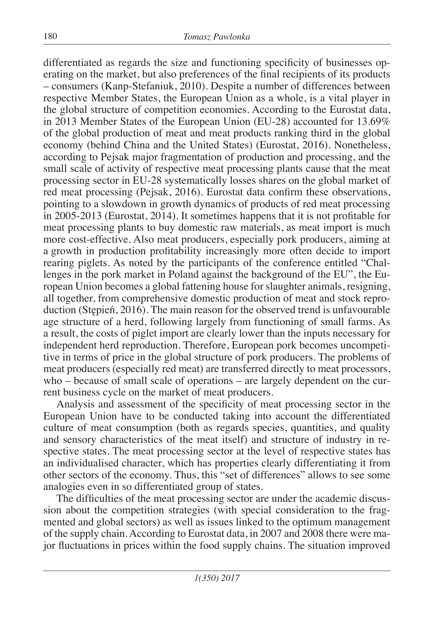differentiated as regards the size and functioning specificity of businesses operating on the market, but also preferences of the final recipients of its products – consumers (Kanp-Stefaniuk, 2010). Despite a number of differences between respective Member States, the European Union as a whole, is a vital player in the global structure of competition economies. According to the Eurostat data, in 2013 Member States of the European Union (EU-28) accounted for 13.69% of the global production of meat and meat products ranking third in the global economy (behind China and the United States) (Eurostat, 2016). Nonetheless, according to Pejsak major fragmentation of production and processing, and the small scale of activity of respective meat processing plants cause that the meat processing sector in EU-28 systematically losses shares on the global market of red meat processing (Pejsak, 2016). Eurostat data confirm these observations, pointing to a slowdown in growth dynamics of products of red meat processing in 2005-2013 (Eurostat, 2014). It sometimes happens that it is not profitable for meat processing plants to buy domestic raw materials, as meat import is much more cost-effective. Also meat producers, especially pork producers, aiming at a growth in production profitability increasingly more often decide to import rearing piglets. As noted by the participants of the conference entitled "Challenges in the pork market in Poland against the background of the EU", the European Union becomes a global fattening house for slaughter animals, resigning, all together, from comprehensive domestic production of meat and stock reproduction (Stępień, 2016). The main reason for the observed trend is unfavourable age structure of a herd, following largely from functioning of small farms. As a result, the costs of piglet import are clearly lower than the inputs necessary for independent herd reproduction. Therefore, European pork becomes uncompetitive in terms of price in the global structure of pork producers. The problems of meat producers (especially red meat) are transferred directly to meat processors, who – because of small scale of operations – are largely dependent on the current business cycle on the market of meat producers.

Analysis and assessment of the specificity of meat processing sector in the European Union have to be conducted taking into account the differentiated culture of meat consumption (both as regards species, quantities, and quality and sensory characteristics of the meat itself) and structure of industry in respective states. The meat processing sector at the level of respective states has an individualised character, which has properties clearly differentiating it from other sectors of the economy. Thus, this "set of differences" allows to see some analogies even in so differentiated group of states.

The difficulties of the meat processing sector are under the academic discussion about the competition strategies (with special consideration to the fragmented and global sectors) as well as issues linked to the optimum management of the supply chain. According to Eurostat data, in 2007 and 2008 there were major fluctuations in prices within the food supply chains. The situation improved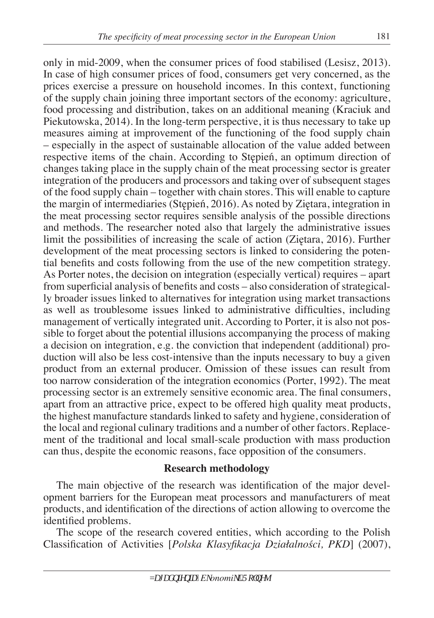only in mid-2009, when the consumer prices of food stabilised (Lesisz, 2013). In case of high consumer prices of food, consumers get very concerned, as the

prices exercise a pressure on household incomes. In this context, functioning of the supply chain joining three important sectors of the economy: agriculture, food processing and distribution, takes on an additional meaning (Kraciuk and Piekutowska, 2014). In the long-term perspective, it is thus necessary to take up measures aiming at improvement of the functioning of the food supply chain – especially in the aspect of sustainable allocation of the value added between respective items of the chain. According to Stępień, an optimum direction of changes taking place in the supply chain of the meat processing sector is greater integration of the producers and processors and taking over of subsequent stages of the food supply chain – together with chain stores. This will enable to capture the margin of intermediaries (Stępień, 2016). As noted by Ziętara, integration in the meat processing sector requires sensible analysis of the possible directions and methods. The researcher noted also that largely the administrative issues limit the possibilities of increasing the scale of action (Ziętara, 2016). Further development of the meat processing sectors is linked to considering the potential benefits and costs following from the use of the new competition strategy. As Porter notes, the decision on integration (especially vertical) requires – apart from superficial analysis of benefits and costs – also consideration of strategically broader issues linked to alternatives for integration using market transactions as well as troublesome issues linked to administrative difficulties, including management of vertically integrated unit. According to Porter, it is also not possible to forget about the potential illusions accompanying the process of making a decision on integration, e.g. the conviction that independent (additional) production will also be less cost-intensive than the inputs necessary to buy a given product from an external producer. Omission of these issues can result from too narrow consideration of the integration economics (Porter, 1992). The meat processing sector is an extremely sensitive economic area. The final consumers, apart from an attractive price, expect to be offered high quality meat products, the highest manufacture standards linked to safety and hygiene, consideration of the local and regional culinary traditions and a number of other factors. Replacement of the traditional and local small-scale production with mass production can thus, despite the economic reasons, face opposition of the consumers.

## **Research methodology**

The main objective of the research was identification of the major development barriers for the European meat processors and manufacturers of meat products, and identification of the directions of action allowing to overcome the identified problems.

The scope of the research covered entities, which according to the Polish Classification of Activities [*Polska Klasyfikacja Działalności, PKD*] (2007),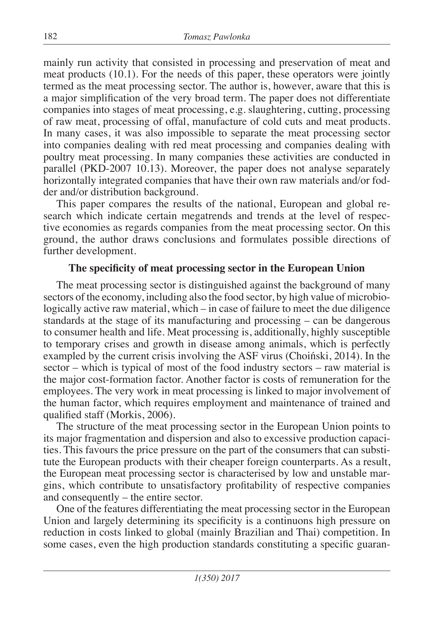mainly run activity that consisted in processing and preservation of meat and meat products (10.1). For the needs of this paper, these operators were jointly termed as the meat processing sector. The author is, however, aware that this is a major simplification of the very broad term. The paper does not differentiate companies into stages of meat processing, e.g. slaughtering, cutting, processing of raw meat, processing of offal, manufacture of cold cuts and meat products. In many cases, it was also impossible to separate the meat processing sector into companies dealing with red meat processing and companies dealing with poultry meat processing. In many companies these activities are conducted in parallel (PKD-2007 10.13). Moreover, the paper does not analyse separately horizontally integrated companies that have their own raw materials and/or fodder and/or distribution background.

This paper compares the results of the national, European and global research which indicate certain megatrends and trends at the level of respective economies as regards companies from the meat processing sector. On this ground, the author draws conclusions and formulates possible directions of further development.

## **The specificity of meat processing sector in the European Union**

The meat processing sector is distinguished against the background of many sectors of the economy, including also the food sector, by high value of microbiologically active raw material, which – in case of failure to meet the due diligence standards at the stage of its manufacturing and processing – can be dangerous to consumer health and life. Meat processing is, additionally, highly susceptible to temporary crises and growth in disease among animals, which is perfectly exampled by the current crisis involving the ASF virus (Choiński, 2014). In the sector – which is typical of most of the food industry sectors – raw material is the major cost-formation factor. Another factor is costs of remuneration for the employees. The very work in meat processing is linked to major involvement of the human factor, which requires employment and maintenance of trained and qualified staff (Morkis, 2006).

The structure of the meat processing sector in the European Union points to its major fragmentation and dispersion and also to excessive production capacities. This favours the price pressure on the part of the consumers that can substitute the European products with their cheaper foreign counterparts. As a result, the European meat processing sector is characterised by low and unstable margins, which contribute to unsatisfactory profitability of respective companies and consequently – the entire sector.

One of the features differentiating the meat processing sector in the European Union and largely determining its specificity is a continuons high pressure on reduction in costs linked to global (mainly Brazilian and Thai) competition. In some cases, even the high production standards constituting a specific guaran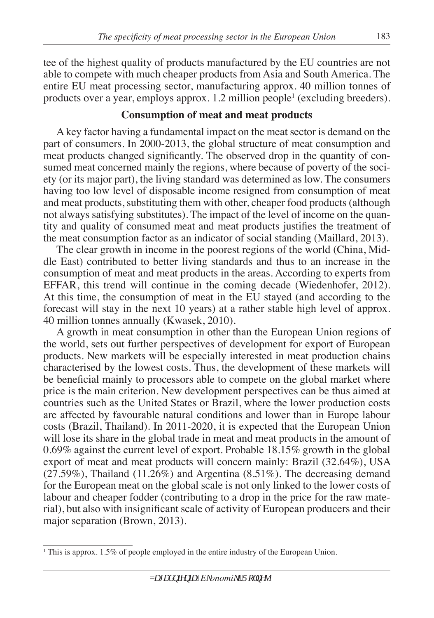tee of the highest quality of products manufactured by the EU countries are not able to compete with much cheaper products from Asia and South America. The entire EU meat processing sector, manufacturing approx. 40 million tonnes of products over a year, employs approx. 1.2 million people<sup>1</sup> (excluding breeders).

# **Consumption of meat and meat products**

A key factor having a fundamental impact on the meat sector is demand on the part of consumers. In 2000-2013, the global structure of meat consumption and meat products changed significantly. The observed drop in the quantity of consumed meat concerned mainly the regions, where because of poverty of the society (or its major part), the living standard was determined as low. The consumers having too low level of disposable income resigned from consumption of meat and meat products, substituting them with other, cheaper food products (although not always satisfying substitutes). The impact of the level of income on the quantity and quality of consumed meat and meat products justifies the treatment of the meat consumption factor as an indicator of social standing (Maillard, 2013).

The clear growth in income in the poorest regions of the world (China, Middle East) contributed to better living standards and thus to an increase in the consumption of meat and meat products in the areas. According to experts from EFFAR, this trend will continue in the coming decade (Wiedenhofer, 2012). At this time, the consumption of meat in the EU stayed (and according to the forecast will stay in the next 10 years) at a rather stable high level of approx. 40 million tonnes annually (Kwasek, 2010).

A growth in meat consumption in other than the European Union regions of the world, sets out further perspectives of development for export of European products. New markets will be especially interested in meat production chains characterised by the lowest costs. Thus, the development of these markets will be beneficial mainly to processors able to compete on the global market where price is the main criterion. New development perspectives can be thus aimed at countries such as the United States or Brazil, where the lower production costs are affected by favourable natural conditions and lower than in Europe labour costs (Brazil, Thailand). In 2011-2020, it is expected that the European Union will lose its share in the global trade in meat and meat products in the amount of 0.69% against the current level of export. Probable 18.15% growth in the global export of meat and meat products will concern mainly: Brazil (32.64%), USA  $(27.59\%)$ , Thailand  $(11.26\%)$  and Argentina  $(8.51\%)$ . The decreasing demand for the European meat on the global scale is not only linked to the lower costs of labour and cheaper fodder (contributing to a drop in the price for the raw material), but also with insignificant scale of activity of European producers and their major separation (Brown, 2013).

<sup>&</sup>lt;sup>1</sup> This is approx. 1.5% of people employed in the entire industry of the European Union.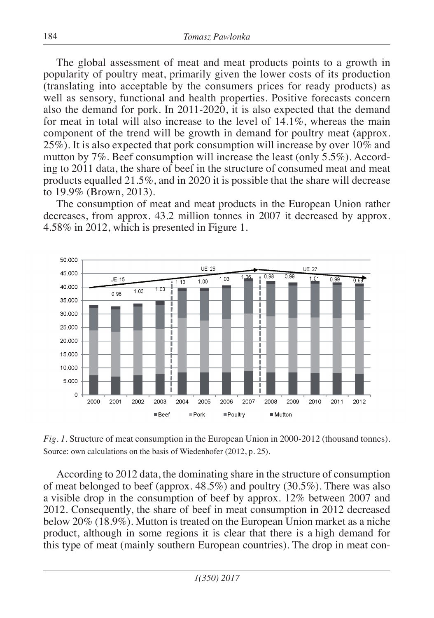The global assessment of meat and meat products points to a growth in popularity of poultry meat, primarily given the lower costs of its production (translating into acceptable by the consumers prices for ready products) as well as sensory, functional and health properties. Positive forecasts concern also the demand for pork. In 2011-2020, it is also expected that the demand for meat in total will also increase to the level of 14.1%, whereas the main component of the trend will be growth in demand for poultry meat (approx. 25%). It is also expected that pork consumption will increase by over 10% and mutton by 7%. Beef consumption will increase the least (only 5.5%). According to 2011 data, the share of beef in the structure of consumed meat and meat products equalled 21.5%, and in 2020 it is possible that the share will decrease to 19.9% (Brown, 2013).

The consumption of meat and meat products in the European Union rather decreases, from approx. 43.2 million tonnes in 2007 it decreased by approx. 4.58% in 2012, which is presented in Figure 1.



*Fig. 1.* Structure of meat consumption in the European Union in 2000-2012 (thousand tonnes). Source: own calculations on the basis of Wiedenhofer (2012, p. 25).

According to 2012 data, the dominating share in the structure of consumption of meat belonged to beef (approx.  $48.5\%$ ) and poultry (30.5%). There was also a visible drop in the consumption of beef by approx. 12% between 2007 and 2012. Consequently, the share of beef in meat consumption in 2012 decreased below 20% (18.9%). Mutton is treated on the European Union market as a niche product, although in some regions it is clear that there is a high demand for this type of meat (mainly southern European countries). The drop in meat con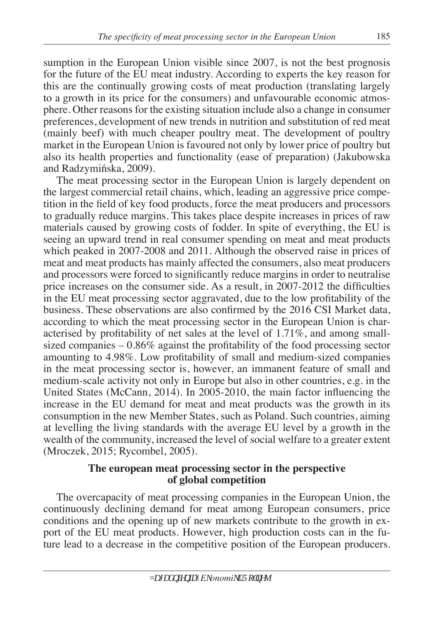sumption in the European Union visible since 2007, is not the best prognosis for the future of the EU meat industry. According to experts the key reason for this are the continually growing costs of meat production (translating largely to a growth in its price for the consumers) and unfavourable economic atmosphere. Other reasons for the existing situation include also a change in consumer preferences, development of new trends in nutrition and substitution of red meat (mainly beef) with much cheaper poultry meat. The development of poultry market in the European Union is favoured not only by lower price of poultry but also its health properties and functionality (ease of preparation) (Jakubowska and Radzymińska, 2009).

The meat processing sector in the European Union is largely dependent on the largest commercial retail chains, which, leading an aggressive price competition in the field of key food products, force the meat producers and processors to gradually reduce margins. This takes place despite increases in prices of raw materials caused by growing costs of fodder. In spite of everything, the EU is seeing an upward trend in real consumer spending on meat and meat products which peaked in 2007-2008 and 2011. Although the observed raise in prices of meat and meat products has mainly affected the consumers, also meat producers and processors were forced to significantly reduce margins in order to neutralise price increases on the consumer side. As a result, in 2007-2012 the difficulties in the EU meat processing sector aggravated, due to the low profitability of the business. These observations are also confirmed by the 2016 CSI Market data, according to which the meat processing sector in the European Union is characterised by profitability of net sales at the level of 1.71%, and among smallsized companies – 0.86% against the profitability of the food processing sector amounting to 4.98%. Low profitability of small and medium-sized companies in the meat processing sector is, however, an immanent feature of small and medium-scale activity not only in Europe but also in other countries, e.g. in the United States (McCann, 2014). In 2005-2010, the main factor influencing the increase in the EU demand for meat and meat products was the growth in its consumption in the new Member States, such as Poland. Such countries, aiming at levelling the living standards with the average EU level by a growth in the wealth of the community, increased the level of social welfare to a greater extent (Mroczek, 2015; Rycombel, 2005).

## **The european meat processing sector in the perspective of global competition**

The overcapacity of meat processing companies in the European Union, the continuously declining demand for meat among European consumers, price conditions and the opening up of new markets contribute to the growth in export of the EU meat products. However, high production costs can in the future lead to a decrease in the competitive position of the European producers.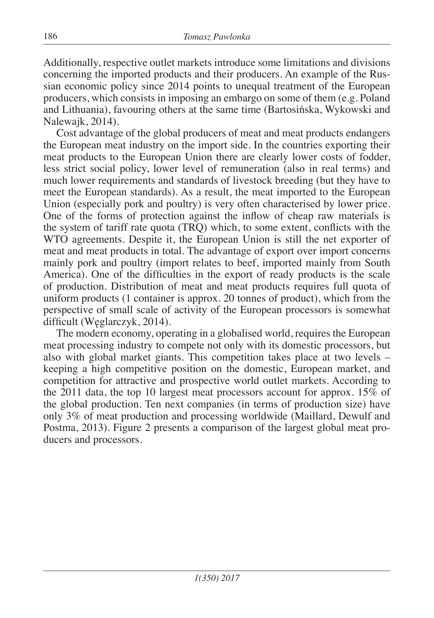Additionally, respective outlet markets introduce some limitations and divisions concerning the imported products and their producers. An example of the Russian economic policy since 2014 points to unequal treatment of the European producers, which consists in imposing an embargo on some of them (e.g. Poland and Lithuania), favouring others at the same time (Bartosińska, Wykowski and Nalewajk, 2014).

Cost advantage of the global producers of meat and meat products endangers the European meat industry on the import side. In the countries exporting their meat products to the European Union there are clearly lower costs of fodder, less strict social policy, lower level of remuneration (also in real terms) and much lower requirements and standards of livestock breeding (but they have to meet the European standards). As a result, the meat imported to the European Union (especially pork and poultry) is very often characterised by lower price. One of the forms of protection against the inflow of cheap raw materials is the system of tariff rate quota (TRQ) which, to some extent, conflicts with the WTO agreements. Despite it, the European Union is still the net exporter of meat and meat products in total. The advantage of export over import concerns mainly pork and poultry (import relates to beef, imported mainly from South America). One of the difficulties in the export of ready products is the scale of production. Distribution of meat and meat products requires full quota of uniform products (1 container is approx. 20 tonnes of product), which from the perspective of small scale of activity of the European processors is somewhat difficult (Węglarczyk, 2014).

The modern economy, operating in a globalised world, requires the European meat processing industry to compete not only with its domestic processors, but also with global market giants. This competition takes place at two levels – keeping a high competitive position on the domestic, European market, and competition for attractive and prospective world outlet markets. According to the 2011 data, the top 10 largest meat processors account for approx. 15% of the global production. Ten next companies (in terms of production size) have only 3% of meat production and processing worldwide (Maillard, Dewulf and Postma, 2013). Figure 2 presents a comparison of the largest global meat producers and processors.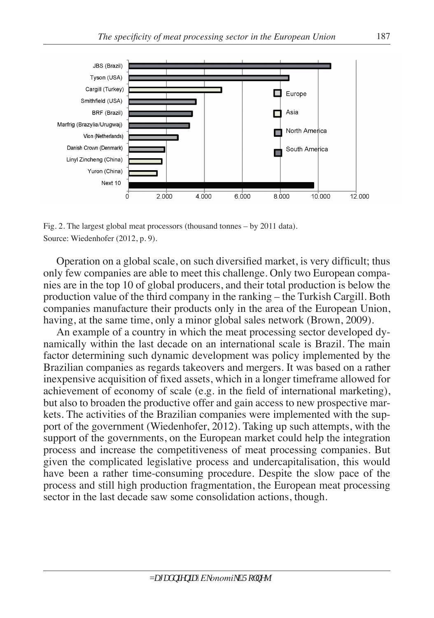

Fig. 2. The largest global meat processors (thousand tonnes – by 2011 data). Source: Wiedenhofer (2012, p. 9).

Operation on a global scale, on such diversified market, is very difficult; thus only few companies are able to meet this challenge. Only two European companies are in the top 10 of global producers, and their total production is below the production value of the third company in the ranking – the Turkish Cargill. Both companies manufacture their products only in the area of the European Union, having, at the same time, only a minor global sales network (Brown, 2009).

An example of a country in which the meat processing sector developed dynamically within the last decade on an international scale is Brazil. The main factor determining such dynamic development was policy implemented by the Brazilian companies as regards takeovers and mergers. It was based on a rather inexpensive acquisition of fixed assets, which in a longer timeframe allowed for achievement of economy of scale (e.g. in the field of international marketing), but also to broaden the productive offer and gain access to new prospective markets. The activities of the Brazilian companies were implemented with the support of the government (Wiedenhofer, 2012). Taking up such attempts, with the support of the governments, on the European market could help the integration process and increase the competitiveness of meat processing companies. But given the complicated legislative process and undercapitalisation, this would have been a rather time-consuming procedure. Despite the slow pace of the process and still high production fragmentation, the European meat processing sector in the last decade saw some consolidation actions, though.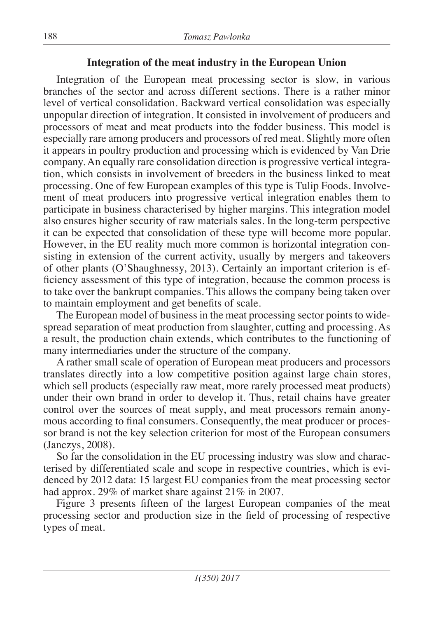## **Integration of the meat industry in the European Union**

Integration of the European meat processing sector is slow, in various branches of the sector and across different sections. There is a rather minor level of vertical consolidation. Backward vertical consolidation was especially unpopular direction of integration. It consisted in involvement of producers and processors of meat and meat products into the fodder business. This model is especially rare among producers and processors of red meat. Slightly more often it appears in poultry production and processing which is evidenced by Van Drie company. An equally rare consolidation direction is progressive vertical integration, which consists in involvement of breeders in the business linked to meat processing. One of few European examples of this type is Tulip Foods. Involvement of meat producers into progressive vertical integration enables them to participate in business characterised by higher margins. This integration model also ensures higher security of raw materials sales. In the long-term perspective it can be expected that consolidation of these type will become more popular. However, in the EU reality much more common is horizontal integration consisting in extension of the current activity, usually by mergers and takeovers of other plants (O'Shaughnessy, 2013). Certainly an important criterion is efficiency assessment of this type of integration, because the common process is to take over the bankrupt companies. This allows the company being taken over to maintain employment and get benefits of scale.

The European model of business in the meat processing sector points to widespread separation of meat production from slaughter, cutting and processing. As a result, the production chain extends, which contributes to the functioning of many intermediaries under the structure of the company.

A rather small scale of operation of European meat producers and processors translates directly into a low competitive position against large chain stores, which sell products (especially raw meat, more rarely processed meat products) under their own brand in order to develop it. Thus, retail chains have greater control over the sources of meat supply, and meat processors remain anonymous according to final consumers. Consequently, the meat producer or processor brand is not the key selection criterion for most of the European consumers (Janczys, 2008).

So far the consolidation in the EU processing industry was slow and characterised by differentiated scale and scope in respective countries, which is evidenced by 2012 data: 15 largest EU companies from the meat processing sector had approx. 29% of market share against 21% in 2007.

Figure 3 presents fifteen of the largest European companies of the meat processing sector and production size in the field of processing of respective types of meat.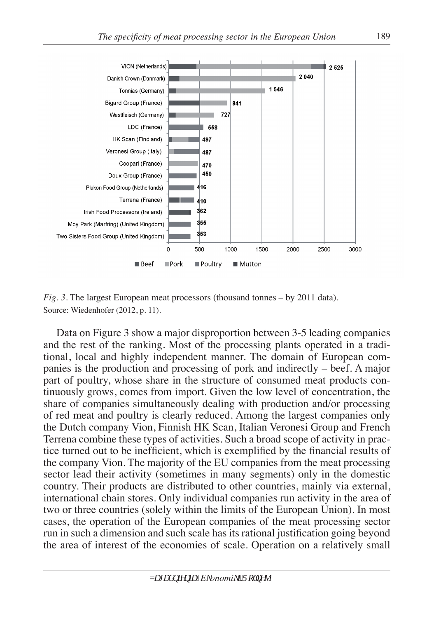

*Fig. 3.* The largest European meat processors (thousand tonnes – by 2011 data). Source: Wiedenhofer (2012, p. 11).

Data on Figure 3 show a major disproportion between 3-5 leading companies and the rest of the ranking. Most of the processing plants operated in a traditional, local and highly independent manner. The domain of European companies is the production and processing of pork and indirectly – beef. A major part of poultry, whose share in the structure of consumed meat products continuously grows, comes from import. Given the low level of concentration, the share of companies simultaneously dealing with production and/or processing of red meat and poultry is clearly reduced. Among the largest companies only the Dutch company Vion, Finnish HK Scan, Italian Veronesi Group and French Terrena combine these types of activities. Such a broad scope of activity in practice turned out to be inefficient, which is exemplified by the financial results of the company Vion. The majority of the EU companies from the meat processing sector lead their activity (sometimes in many segments) only in the domestic country. Their products are distributed to other countries, mainly via external, international chain stores. Only individual companies run activity in the area of two or three countries (solely within the limits of the European Union). In most cases, the operation of the European companies of the meat processing sector run in such a dimension and such scale has its rational justification going beyond the area of interest of the economies of scale. Operation on a relatively small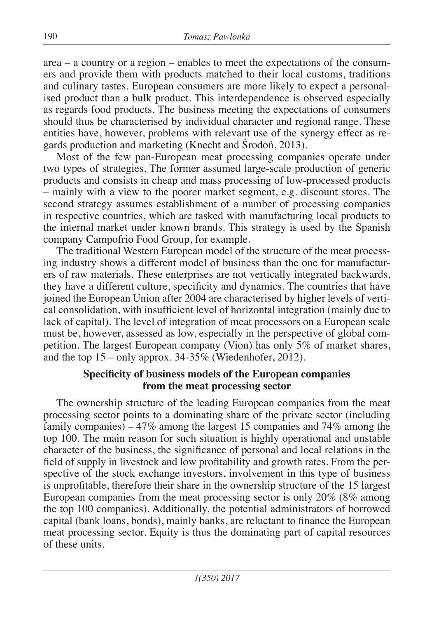area – a country or a region – enables to meet the expectations of the consumers and provide them with products matched to their local customs, traditions and culinary tastes. European consumers are more likely to expect a personalised product than a bulk product. This interdependence is observed especially as regards food products. The business meeting the expectations of consumers should thus be characterised by individual character and regional range. These entities have, however, problems with relevant use of the synergy effect as regards production and marketing (Knecht and Środoń, 2013).

Most of the few pan-European meat processing companies operate under two types of strategies. The former assumed large-scale production of generic products and consists in cheap and mass processing of low-processed products – mainly with a view to the poorer market segment, e.g. discount stores. The second strategy assumes establishment of a number of processing companies in respective countries, which are tasked with manufacturing local products to the internal market under known brands. This strategy is used by the Spanish company Campofrio Food Group, for example.

The traditional Western European model of the structure of the meat processing industry shows a different model of business than the one for manufacturers of raw materials. These enterprises are not vertically integrated backwards, they have a different culture, specificity and dynamics. The countries that have joined the European Union after 2004 are characterised by higher levels of vertical consolidation, with insufficient level of horizontal integration (mainly due to lack of capital). The level of integration of meat processors on a European scale must be, however, assessed as low, especially in the perspective of global competition. The largest European company (Vion) has only 5% of market shares, and the top 15 – only approx. 34-35% (Wiedenhofer, 2012).

## **Specificity of business models of the European companies from the meat processing sector**

The ownership structure of the leading European companies from the meat processing sector points to a dominating share of the private sector (including family companies) – 47% among the largest 15 companies and 74% among the top 100. The main reason for such situation is highly operational and unstable character of the business, the significance of personal and local relations in the field of supply in livestock and low profitability and growth rates. From the perspective of the stock exchange investors, involvement in this type of business is unprofitable, therefore their share in the ownership structure of the 15 largest European companies from the meat processing sector is only 20% (8% among the top 100 companies). Additionally, the potential administrators of borrowed capital (bank loans, bonds), mainly banks, are reluctant to finance the European meat processing sector. Equity is thus the dominating part of capital resources of these units.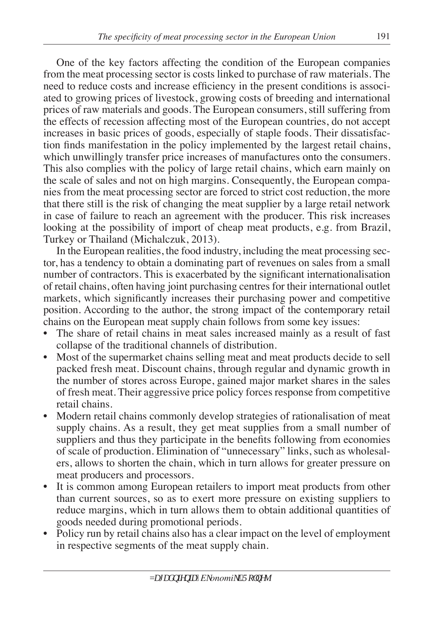One of the key factors affecting the condition of the European companies from the meat processing sector is costs linked to purchase of raw materials. The need to reduce costs and increase efficiency in the present conditions is associated to growing prices of livestock, growing costs of breeding and international prices of raw materials and goods. The European consumers, still suffering from the effects of recession affecting most of the European countries, do not accept increases in basic prices of goods, especially of staple foods. Their dissatisfaction finds manifestation in the policy implemented by the largest retail chains, which unwillingly transfer price increases of manufactures onto the consumers. This also complies with the policy of large retail chains, which earn mainly on the scale of sales and not on high margins. Consequently, the European companies from the meat processing sector are forced to strict cost reduction, the more that there still is the risk of changing the meat supplier by a large retail network in case of failure to reach an agreement with the producer. This risk increases looking at the possibility of import of cheap meat products, e.g. from Brazil, Turkey or Thailand (Michalczuk, 2013).

In the European realities, the food industry, including the meat processing sector, has a tendency to obtain a dominating part of revenues on sales from a small number of contractors. This is exacerbated by the significant internationalisation of retail chains, often having joint purchasing centres for their international outlet markets, which significantly increases their purchasing power and competitive position. According to the author, the strong impact of the contemporary retail chains on the European meat supply chain follows from some key issues:

- The share of retail chains in meat sales increased mainly as a result of fast collapse of the traditional channels of distribution.
- Most of the supermarket chains selling meat and meat products decide to sell packed fresh meat. Discount chains, through regular and dynamic growth in the number of stores across Europe, gained major market shares in the sales of fresh meat. Their aggressive price policy forces response from competitive retail chains.
- Modern retail chains commonly develop strategies of rationalisation of meat supply chains. As a result, they get meat supplies from a small number of suppliers and thus they participate in the benefits following from economies of scale of production. Elimination of "unnecessary" links, such as wholesalers, allows to shorten the chain, which in turn allows for greater pressure on meat producers and processors.
- It is common among European retailers to import meat products from other than current sources, so as to exert more pressure on existing suppliers to reduce margins, which in turn allows them to obtain additional quantities of goods needed during promotional periods.
- Policy run by retail chains also has a clear impact on the level of employment in respective segments of the meat supply chain.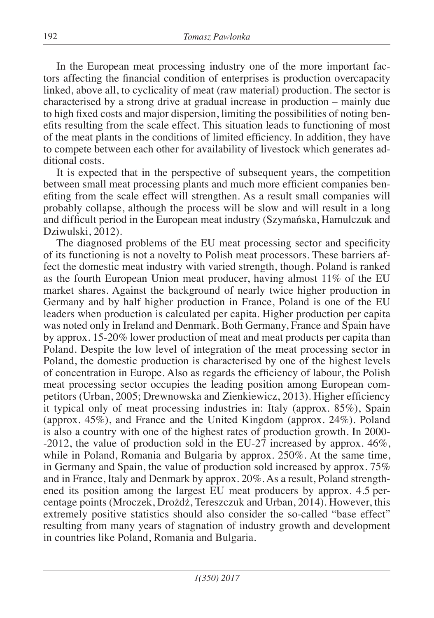In the European meat processing industry one of the more important factors affecting the financial condition of enterprises is production overcapacity linked, above all, to cyclicality of meat (raw material) production. The sector is characterised by a strong drive at gradual increase in production – mainly due to high fixed costs and major dispersion, limiting the possibilities of noting benefits resulting from the scale effect. This situation leads to functioning of most of the meat plants in the conditions of limited efficiency. In addition, they have to compete between each other for availability of livestock which generates additional costs.

It is expected that in the perspective of subsequent years, the competition between small meat processing plants and much more efficient companies benefiting from the scale effect will strengthen. As a result small companies will probably collapse, although the process will be slow and will result in a long and difficult period in the European meat industry (Szymańska, Hamulczuk and Dziwulski, 2012).

The diagnosed problems of the EU meat processing sector and specificity of its functioning is not a novelty to Polish meat processors. These barriers affect the domestic meat industry with varied strength, though. Poland is ranked as the fourth European Union meat producer, having almost 11% of the EU market shares. Against the background of nearly twice higher production in Germany and by half higher production in France, Poland is one of the EU leaders when production is calculated per capita. Higher production per capita was noted only in Ireland and Denmark. Both Germany, France and Spain have by approx. 15-20% lower production of meat and meat products per capita than Poland. Despite the low level of integration of the meat processing sector in Poland, the domestic production is characterised by one of the highest levels of concentration in Europe. Also as regards the efficiency of labour, the Polish meat processing sector occupies the leading position among European competitors (Urban, 2005; Drewnowska and Zienkiewicz, 2013). Higher efficiency it typical only of meat processing industries in: Italy (approx. 85%), Spain (approx. 45%), and France and the United Kingdom (approx. 24%). Poland is also a country with one of the highest rates of production growth. In 2000- -2012, the value of production sold in the EU-27 increased by approx.  $46\%$ , while in Poland, Romania and Bulgaria by approx. 250%. At the same time, in Germany and Spain, the value of production sold increased by approx. 75% and in France, Italy and Denmark by approx. 20%. As a result, Poland strengthened its position among the largest EU meat producers by approx. 4.5 percentage points (Mroczek, Drożdż, Tereszczuk and Urban, 2014). However, this extremely positive statistics should also consider the so-called "base effect" resulting from many years of stagnation of industry growth and development in countries like Poland, Romania and Bulgaria.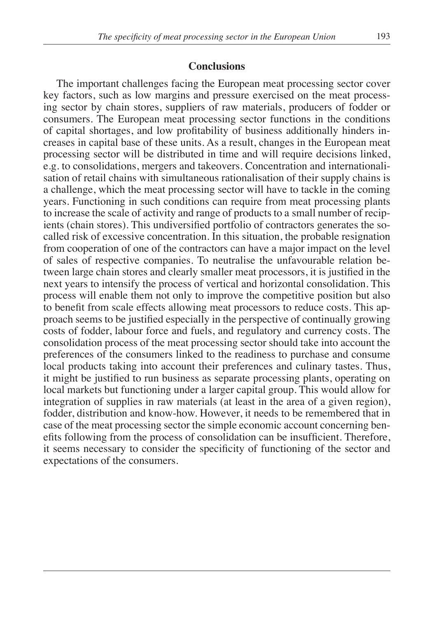#### **Conclusions**

The important challenges facing the European meat processing sector cover key factors, such as low margins and pressure exercised on the meat processing sector by chain stores, suppliers of raw materials, producers of fodder or consumers. The European meat processing sector functions in the conditions of capital shortages, and low profitability of business additionally hinders increases in capital base of these units. As a result, changes in the European meat processing sector will be distributed in time and will require decisions linked, e.g. to consolidations, mergers and takeovers. Concentration and internationalisation of retail chains with simultaneous rationalisation of their supply chains is a challenge, which the meat processing sector will have to tackle in the coming years. Functioning in such conditions can require from meat processing plants to increase the scale of activity and range of products to a small number of recipients (chain stores). This undiversified portfolio of contractors generates the socalled risk of excessive concentration. In this situation, the probable resignation from cooperation of one of the contractors can have a major impact on the level of sales of respective companies. To neutralise the unfavourable relation between large chain stores and clearly smaller meat processors, it is justified in the next years to intensify the process of vertical and horizontal consolidation. This process will enable them not only to improve the competitive position but also to benefit from scale effects allowing meat processors to reduce costs. This approach seems to be justified especially in the perspective of continually growing costs of fodder, labour force and fuels, and regulatory and currency costs. The consolidation process of the meat processing sector should take into account the preferences of the consumers linked to the readiness to purchase and consume local products taking into account their preferences and culinary tastes. Thus, it might be justified to run business as separate processing plants, operating on local markets but functioning under a larger capital group. This would allow for integration of supplies in raw materials (at least in the area of a given region), fodder, distribution and know-how. However, it needs to be remembered that in case of the meat processing sector the simple economic account concerning benefits following from the process of consolidation can be insufficient. Therefore, it seems necessary to consider the specificity of functioning of the sector and expectations of the consumers.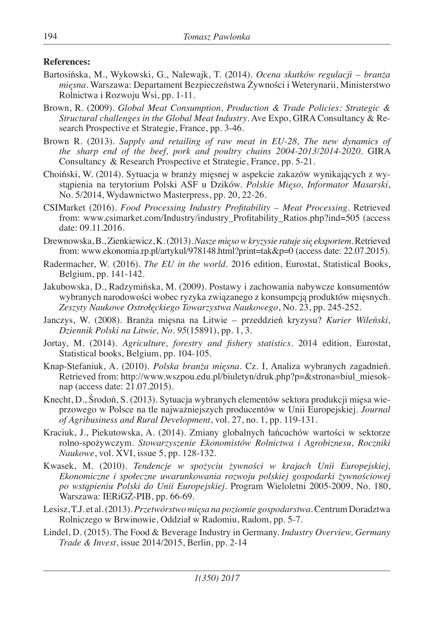#### **References:**

- Bartosińska, M., Wykowski, G., Nalewajk, T. (2014). *Ocena skutków regulacji branża mięsna*. Warszawa: Departament Bezpieczeństwa Żywności i Weterynarii, Ministerstwo Rolnictwa i Rozwoju Wsi, pp. 1-11.
- Brown, R. (2009). *Global Meat Consumption, Production & Trade Policies: Strategic & Structural challenges in the Global Meat Industry*. Ave Expo, GIRA Consultancy & Research Prospective et Strategie, France, pp. 3-46.
- Brown R. (2013). *Supply and retailing of raw meat in EU-28, The new dynamics of the sharp end of the beef, pork and poultry chains 2004-2013/2014-2020*. GIRA Consultancy & Research Prospective et Strategie, France, pp. 5-21.
- Choiński, W. (2014). Sytuacja w branży mięsnej w aspekcie zakazów wynikających z wystąpienia na terytorium Polski ASF u Dzików. *Polskie Mięso, Informator Masarski*, No. 5/2014, Wydawnictwo Masterpress, pp. 20, 22-26.
- CSIMarket (2016). *Food Processing Industry Profitability Meat Processing*. Retrieved from: www.csimarket.com/Industry/industry\_Profitability\_Ratios.php?ind=505 (access date: 09.11.2016.
- Drewnowska, B., Zienkiewicz, K. (2013). *Nasze mięso w kryzysie ratuje się eksportem.* Retrieved from: www.ekonomia.rp.pl/artykul/978148.html?print=tak&p=0 (access date: 22.07.2015).
- Radermacher, W. (2016). *The EU in the world*. 2016 edition, Eurostat, Statistical Books, Belgium, pp. 141-142.
- Jakubowska, D., Radzymińska, M. (2009). Postawy i zachowania nabywcze konsumentów wybranych narodowości wobec ryzyka związanego z konsumpcją produktów mięsnych. *Zeszyty Naukowe Ostrołęckiego Towarzystwa Naukowego*, No. 23, pp. 245-252.
- Janczys, W. (2008). Branża mięsna na Litwie przeddzień kryzysu? *Kurier Wileński, Dziennik Polski na Litwie, No. 95*(15891), pp. 1, 3.
- Jortay, M. (2014). *Agriculture, forestry and fishery statistics*. 2014 edition, Eurostat, Statistical books, Belgium, pp. 104-105.
- Knap-Stefaniuk, A. (2010). *Polska branża mięsna*. Cz. I, Analiza wybranych zagadnień. Retrieved from: http://www.wszpou.edu.pl/biuletyn/druk.php?p=&strona=biul\_miesoknap (access date: 21.07.2015).
- Knecht, D., Środoń, S. (2013). Sytuacja wybranych elementów sektora produkcji mięsa wieprzowego w Polsce na tle najważniejszych producentów w Unii Europejskiej. *Journal of Agribusiness and Rural Development*, vol. 27, no. 1, pp. 119-131.
- Kraciuk, J., Piekutowska, A. (2014). Zmiany globalnych łańcuchów wartości w sektorze rolno-spożywczym. *Stowarzyszenie Ekonomistów Rolnictwa i Agrobiznesu, Roczniki Naukowe*, vol. XVI, issue 5, pp. 128-132.
- Kwasek, M. (2010). *Tendencje w spożyciu żywności w krajach Unii Europejskiej, Ekonomiczne i społeczne uwarunkowania rozwoju polskiej gospodarki żywnościowej po wstąpieniu Polski do Unii Europejskiej*. Program Wieloletni 2005-2009, No. 180, Warszawa: IERiGŻ-PIB, pp. 66-69.
- Lesisz, T.J. et al. (2013). *Przetwórstwo mięsa na poziomie gospodarstwa*. Centrum Doradztwa Rolniczego w Brwinowie, Oddział w Radomiu, Radom, pp. 5-7.
- Lindel, D. (2015). The Food & Beverage Industry in Germany. *Industry Overview, Germany Trade & Invest*, issue 2014/2015, Berlin, pp. 2-14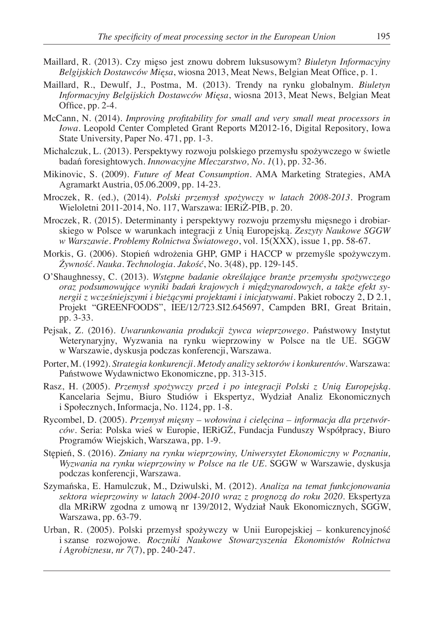- Maillard, R. (2013). Czy mięso jest znowu dobrem luksusowym? *Biuletyn Informacyjny Belgijskich Dostawców Mięsa*, wiosna 2013, Meat News, Belgian Meat Office, p. 1.
- Maillard, R., Dewulf, J., Postma, M. (2013). Trendy na rynku globalnym. *Biuletyn Informacyjny Belgijskich Dostawców Mięsa*, wiosna 2013, Meat News, Belgian Meat Office, pp. 2-4.
- McCann, N. (2014). *Improving profitability for small and very small meat processors in Iowa*. Leopold Center Completed Grant Reports M2012-16, Digital Repository, Iowa State University, Paper No. 471, pp. 1-3.
- Michalczuk, L. (2013). Perspektywy rozwoju polskiego przemysłu spożywczego w świetle badań foresightowych. *Innowacyjne Mleczarstwo, No. 1*(1), pp. 32-36.
- Mikinovic, S. (2009). *Future of Meat Consumption*. AMA Marketing Strategies, AMA Agramarkt Austria, 05.06.2009, pp. 14-23.
- Mroczek, R. (ed.), (2014). *Polski przemysł spożywczy w latach 2008-2013*. Program Wieloletni 2011-2014, No. 117, Warszawa: IERiŻ-PIB, p. 20.
- Mroczek, R. (2015). Determinanty i perspektywy rozwoju przemysłu mięsnego i drobiarskiego w Polsce w warunkach integracji z Unią Europejską. *Zeszyty Naukowe SGGW w Warszawie. Problemy Rolnictwa Światowego*, vol. 15(XXX), issue 1, pp. 58-67.
- Morkis, G. (2006). Stopień wdrożenia GHP, GMP i HACCP w przemyśle spożywczym. *Żywność. Nauka. Technologia. Jakość*, No. 3(48), pp. 129-145.
- O'Shaughnessy, C. (2013). *Wstępne badanie określające branże przemysłu spożywczego oraz podsumowujące wyniki badań krajowych i międzynarodowych, a także efekt synergii z wcześniejszymi i bieżącymi projektami i inicjatywami*. Pakiet roboczy 2, D 2.1, Projekt "GREENFOODS", IEE/12/723.SI2.645697, Campden BRI, Great Britain, pp. 3-33.
- Pejsak, Z. (2016). *Uwarunkowania produkcji żywca wieprzowego*. Państwowy Instytut Weterynaryjny, Wyzwania na rynku wieprzowiny w Polsce na tle UE. SGGW w Warszawie, dyskusja podczas konferencji, Warszawa.
- Porter, M. (1992). *Strategia konkurencji. Metody analizy sektorów i konkurentów*. Warszawa: Państwowe Wydawnictwo Ekonomiczne, pp. 313-315.
- Rasz, H. (2005). *Przemysł spożywczy przed i po integracji Polski z Unią Europejską*. Kancelaria Sejmu, Biuro Studiów i Ekspertyz, Wydział Analiz Ekonomicznych i Społecznych, Informacja, No. 1124, pp. 1-8.
- Rycombel, D. (2005). *Przemysł mięsny wołowina i cielęcina informacja dla przetwórców*. Seria: Polska wieś w Europie, IERiGŻ, Fundacja Funduszy Współpracy, Biuro Programów Wiejskich, Warszawa, pp. 1-9.
- Stępień, S. (2016). *Zmiany na rynku wieprzowiny, Uniwersytet Ekonomiczny w Poznaniu, Wyzwania na rynku wieprzowiny w Polsce na tle UE*. SGGW w Warszawie, dyskusja podczas konferencji, Warszawa.
- Szymańska, E. Hamulczuk, M., Dziwulski, M. (2012). *Analiza na temat funkcjonowania sektora wieprzowiny w latach 2004-2010 wraz z prognozą do roku 2020*. Ekspertyza dla MRiRW zgodna z umową nr 139/2012, Wydział Nauk Ekonomicznych, SGGW, Warszawa, pp. 63-79.
- Urban, R. (2005). Polski przemysł spożywczy w Unii Europejskiej konkurencyjność i szanse rozwojowe. *Roczniki Naukowe Stowarzyszenia Ekonomistów Rolnictwa i Agrobiznesu, nr 7*(7), pp. 240-247.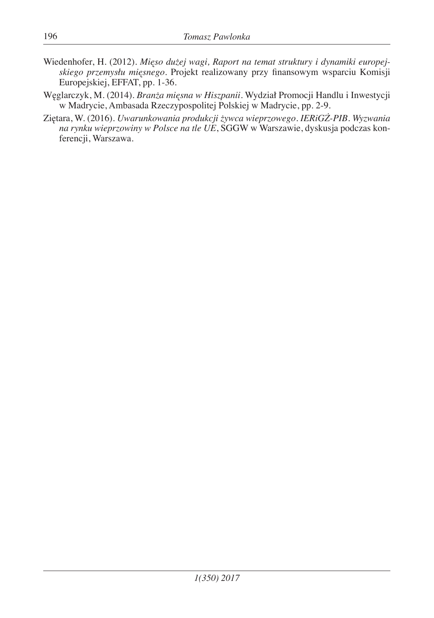- Wiedenhofer, H. (2012). *Mięso dużej wagi, Raport na temat struktury i dynamiki europejskiego przemysłu mięsnego*. Projekt realizowany przy finansowym wsparciu Komisji Europejskiej, EFFAT, pp. 1-36.
- Węglarczyk, M. (2014). *Branża mięsna w Hiszpanii*. Wydział Promocji Handlu i Inwestycji w Madrycie, Ambasada Rzeczypospolitej Polskiej w Madrycie, pp. 2-9.
- Ziętara, W. (2016). *Uwarunkowania produkcji żywca wieprzowego. IERiGŻ-PIB. Wyzwania na rynku wieprzowiny w Polsce na tle UE*, SGGW w Warszawie, dyskusja podczas konferencji, Warszawa.